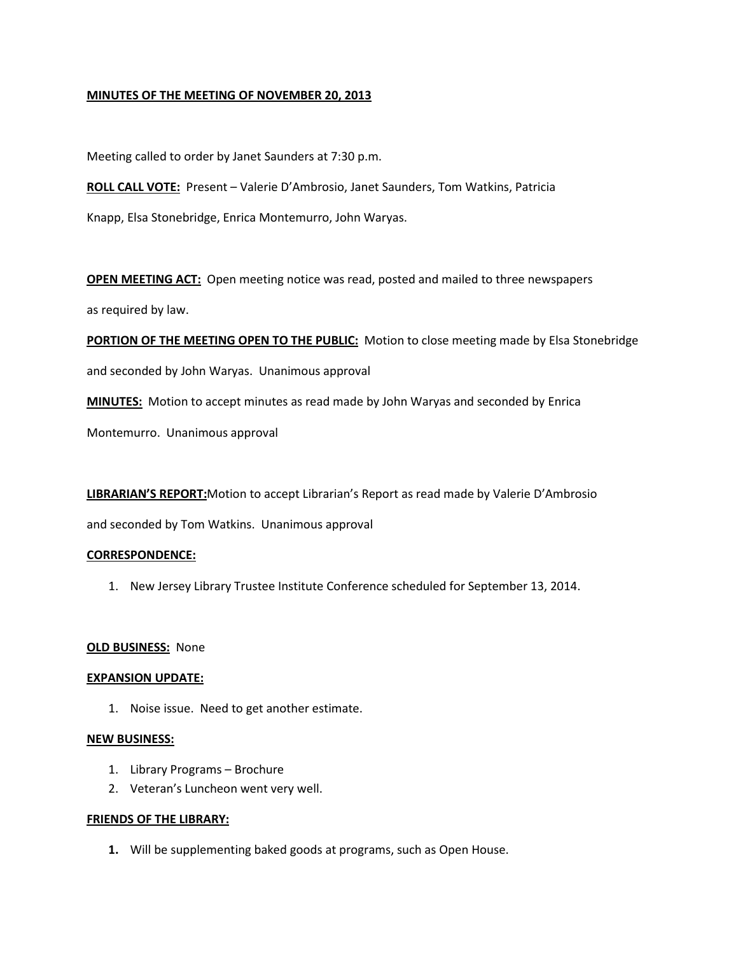## **MINUTES OF THE MEETING OF NOVEMBER 20, 2013**

Meeting called to order by Janet Saunders at 7:30 p.m.

**ROLL CALL VOTE:** Present – Valerie D'Ambrosio, Janet Saunders, Tom Watkins, Patricia Knapp, Elsa Stonebridge, Enrica Montemurro, John Waryas.

**OPEN MEETING ACT:** Open meeting notice was read, posted and mailed to three newspapers as required by law.

**PORTION OF THE MEETING OPEN TO THE PUBLIC:** Motion to close meeting made by Elsa Stonebridge and seconded by John Waryas. Unanimous approval

**MINUTES:** Motion to accept minutes as read made by John Waryas and seconded by Enrica

Montemurro. Unanimous approval

**LIBRARIAN'S REPORT:**Motion to accept Librarian's Report as read made by Valerie D'Ambrosio

and seconded by Tom Watkins. Unanimous approval

#### **CORRESPONDENCE:**

1. New Jersey Library Trustee Institute Conference scheduled for September 13, 2014.

#### **OLD BUSINESS:** None

#### **EXPANSION UPDATE:**

1. Noise issue. Need to get another estimate.

#### **NEW BUSINESS:**

- 1. Library Programs Brochure
- 2. Veteran's Luncheon went very well.

#### **FRIENDS OF THE LIBRARY:**

**1.** Will be supplementing baked goods at programs, such as Open House.